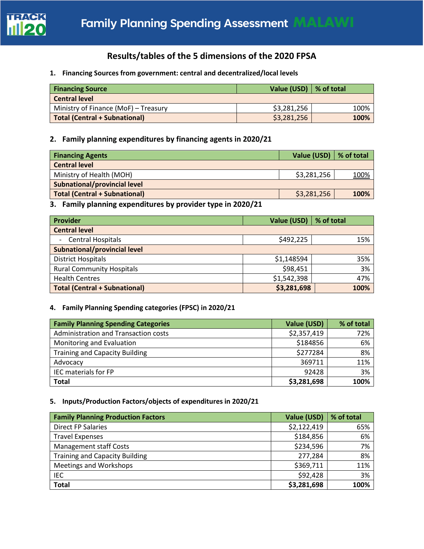

# **Results/tables of the 5 dimensions of the 2020 FPSA**

**1. Financing Sources from government: central and decentralized/local levels**

| <b>Financing Source</b>              | Value (USD) $\mid$ % of total |      |
|--------------------------------------|-------------------------------|------|
| <b>Central level</b>                 |                               |      |
| Ministry of Finance (MoF) - Treasury | \$3,281,256                   | 100% |
| <b>Total (Central + Subnational)</b> | \$3,281,256                   | 100% |

## **2. Family planning expenditures by financing agents in 2020/21**

|             | Value (USD)   % of total |
|-------------|--------------------------|
|             |                          |
| \$3,281,256 | <u>100%</u>              |
|             |                          |
| \$3,281,256 | 100%                     |
|             |                          |

**3. Family planning expenditures by provider type in 2020/21**

| Provider                             | Value (USD) | % of total |
|--------------------------------------|-------------|------------|
| <b>Central level</b>                 |             |            |
| <b>Central Hospitals</b><br>$\sim$   | \$492,225   | 15%        |
| Subnational/provincial level         |             |            |
| <b>District Hospitals</b>            | \$1,148594  | 35%        |
| <b>Rural Community Hospitals</b>     | \$98,451    | 3%         |
| <b>Health Centres</b>                | \$1,542,398 | 47%        |
| <b>Total (Central + Subnational)</b> | \$3,281,698 | 100%       |

### **4. Family Planning Spending categories (FPSC) in 2020/21**

| <b>Family Planning Spending Categories</b> | Value (USD) | % of total |
|--------------------------------------------|-------------|------------|
| Administration and Transaction costs       | \$2,357,419 | 72%        |
| Monitoring and Evaluation                  | \$184856    | 6%         |
| <b>Training and Capacity Building</b>      | \$277284    | 8%         |
| Advocacy                                   | 369711      | 11%        |
| IEC materials for FP                       | 92428       | 3%         |
| <b>Total</b>                               | \$3,281,698 | 100%       |

## **5. Inputs/Production Factors/objects of expenditures in 2020/21**

| <b>Family Planning Production Factors</b> | Value (USD) | % of total |
|-------------------------------------------|-------------|------------|
| <b>Direct FP Salaries</b>                 | \$2,122,419 | 65%        |
| <b>Travel Expenses</b>                    | \$184,856   | 6%         |
| <b>Management staff Costs</b>             | \$234,596   | 7%         |
| <b>Training and Capacity Building</b>     | 277,284     | 8%         |
| Meetings and Workshops                    | \$369,711   | 11%        |
| IEC                                       | \$92,428    | 3%         |
| <b>Total</b>                              | \$3,281,698 | 100%       |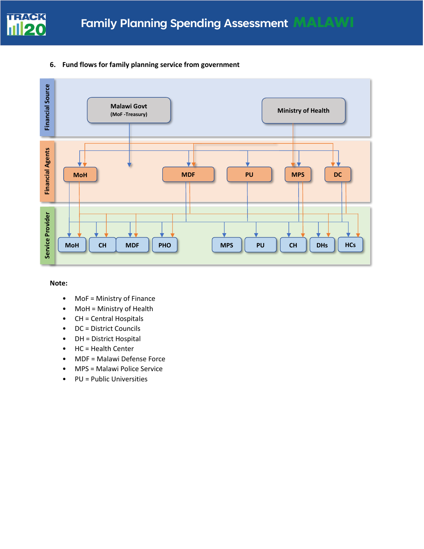

### **6. Fund flows for family planning service from government**



### **Note:**

- MoF = Ministry of Finance
- MoH = Ministry of Health
- CH = Central Hospitals
- DC = District Councils
- DH = District Hospital
- HC = Health Center
- MDF = Malawi Defense Force
- MPS = Malawi Police Service
- PU = Public Universities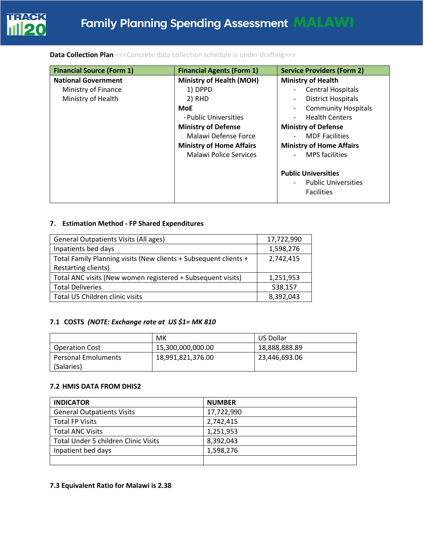

### **Data Collection Plan** <<< Concrete data collection schedule is under drafting>>>

| <b>Financial Source (Form 1)</b> | <b>Financial Agents (Form 1)</b> | <b>Service Providers (Form 2)</b>              |
|----------------------------------|----------------------------------|------------------------------------------------|
| <b>National Government</b>       | Ministry of Health (MOH)         | <b>Ministry of Health</b>                      |
| Ministry of Finance              | 1) DPPD                          | <b>Central Hospitals</b>                       |
| Ministry of Health               | 2) RHD                           | District Hospitals<br>$\overline{\phantom{a}}$ |
|                                  | <b>MoE</b>                       | <b>Community Hospitals</b>                     |
|                                  | - Public Universities            | <b>Health Centers</b>                          |
|                                  | <b>Ministry of Defense</b>       | <b>Ministry of Defense</b>                     |
|                                  | Malawi Defense Force             | <b>MDF Facilities</b>                          |
|                                  | <b>Ministry of Home Affairs</b>  | <b>Ministry of Home Affairs</b>                |
|                                  | Malawi Police Services           | <b>MPS</b> facilities                          |
|                                  |                                  | <b>Public Universities</b>                     |
|                                  |                                  | <b>Public Universities</b>                     |
|                                  |                                  | <b>Facilities</b>                              |

### **7. Estimation Method - FP Shared Expenditures**

| <b>General Outpatients Visits (All ages)</b>                     | 17,722,990 |
|------------------------------------------------------------------|------------|
| Inpatients bed days                                              | 1,598,276  |
| Total Family Planning visits (New clients + Subsequent clients + | 2,742,415  |
| Restarting clients)                                              |            |
| Total ANC visits (New women registered + Subsequent visits)      | 1,251,953  |
| <b>Total Deliveries</b>                                          | 538,157    |
| Total U5 Children clinic visits                                  | 8,392,043  |

## **7.1 COSTS** *(NOTE: Exchange rate at US \$1= MK 810*

|                            | МK                | US Dollar     |
|----------------------------|-------------------|---------------|
| <b>Operation Cost</b>      | 15,300,000,000.00 | 18,888,888.89 |
| <b>Personal Emoluments</b> | 18,991,821,376.00 | 23,446,693.06 |
| (Salaries)                 |                   |               |

### **7.2 HMIS DATA FROM DHIS2**

| <b>INDICATOR</b>                            | <b>NUMBER</b> |
|---------------------------------------------|---------------|
| <b>General Outpatients Visits</b>           | 17,722,990    |
| <b>Total FP Visits</b>                      | 2,742,415     |
| <b>Total ANC Visits</b>                     | 1,251,953     |
| <b>Total Under 5 children Clinic Visits</b> | 8,392,043     |
| Inpatient bed days                          | 1,598,276     |
|                                             |               |

### **7.3 Equivalent Ratio for Malawi is 2.38**